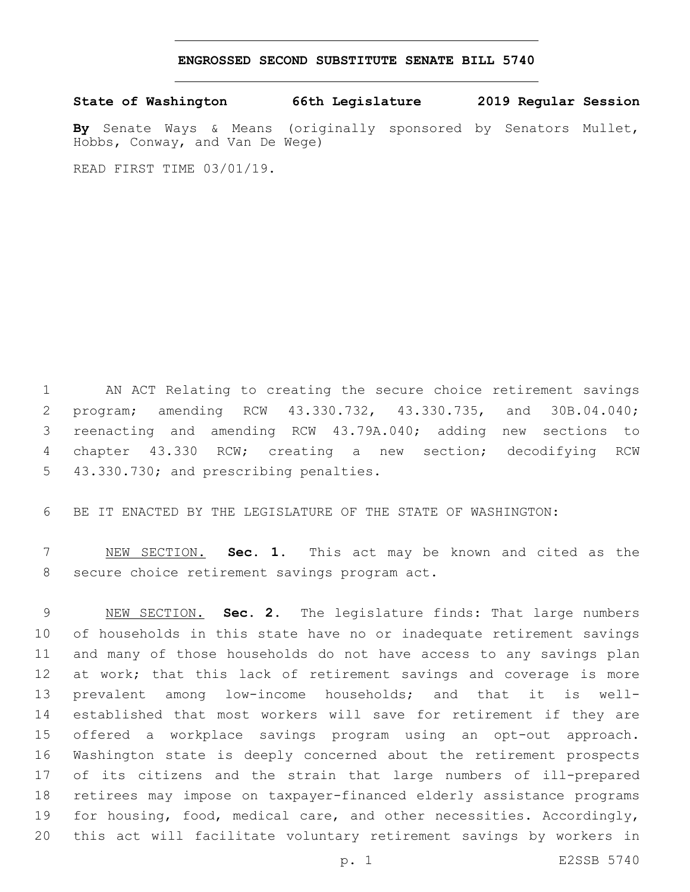## **ENGROSSED SECOND SUBSTITUTE SENATE BILL 5740**

**State of Washington 66th Legislature 2019 Regular Session**

**By** Senate Ways & Means (originally sponsored by Senators Mullet, Hobbs, Conway, and Van De Wege)

READ FIRST TIME 03/01/19.

 AN ACT Relating to creating the secure choice retirement savings program; amending RCW 43.330.732, 43.330.735, and 30B.04.040; reenacting and amending RCW 43.79A.040; adding new sections to chapter 43.330 RCW; creating a new section; decodifying RCW 5 43.330.730; and prescribing penalties.

BE IT ENACTED BY THE LEGISLATURE OF THE STATE OF WASHINGTON:

 NEW SECTION. **Sec. 1.** This act may be known and cited as the secure choice retirement savings program act.

 NEW SECTION. **Sec. 2.** The legislature finds: That large numbers of households in this state have no or inadequate retirement savings and many of those households do not have access to any savings plan 12 at work; that this lack of retirement savings and coverage is more prevalent among low-income households; and that it is well- established that most workers will save for retirement if they are offered a workplace savings program using an opt-out approach. Washington state is deeply concerned about the retirement prospects of its citizens and the strain that large numbers of ill-prepared retirees may impose on taxpayer-financed elderly assistance programs for housing, food, medical care, and other necessities. Accordingly, this act will facilitate voluntary retirement savings by workers in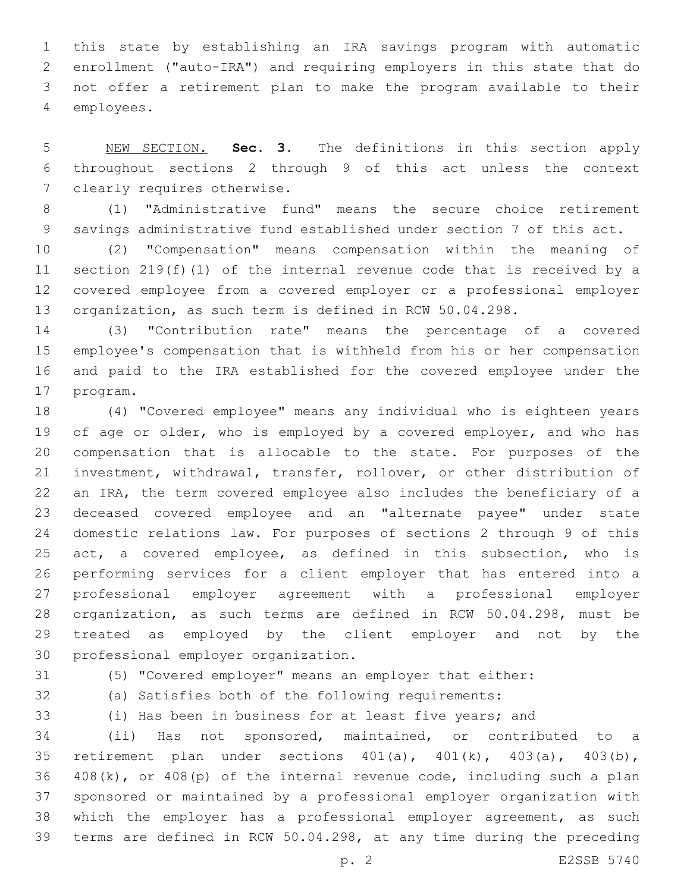this state by establishing an IRA savings program with automatic enrollment ("auto-IRA") and requiring employers in this state that do not offer a retirement plan to make the program available to their employees.4

 NEW SECTION. **Sec. 3.** The definitions in this section apply throughout sections 2 through 9 of this act unless the context clearly requires otherwise.

 (1) "Administrative fund" means the secure choice retirement savings administrative fund established under section 7 of this act.

 (2) "Compensation" means compensation within the meaning of section 219(f)(1) of the internal revenue code that is received by a covered employee from a covered employer or a professional employer organization, as such term is defined in RCW 50.04.298.

 (3) "Contribution rate" means the percentage of a covered employee's compensation that is withheld from his or her compensation and paid to the IRA established for the covered employee under the 17 program.

 (4) "Covered employee" means any individual who is eighteen years of age or older, who is employed by a covered employer, and who has compensation that is allocable to the state. For purposes of the investment, withdrawal, transfer, rollover, or other distribution of an IRA, the term covered employee also includes the beneficiary of a deceased covered employee and an "alternate payee" under state domestic relations law. For purposes of sections 2 through 9 of this act, a covered employee, as defined in this subsection, who is performing services for a client employer that has entered into a professional employer agreement with a professional employer organization, as such terms are defined in RCW 50.04.298, must be treated as employed by the client employer and not by the 30 professional employer organization.

(5) "Covered employer" means an employer that either:

(a) Satisfies both of the following requirements:

(i) Has been in business for at least five years; and

 (ii) Has not sponsored, maintained, or contributed to a 35 retirement plan under sections  $401(a)$ ,  $401(k)$ ,  $403(a)$ ,  $403(b)$ , 408(k), or 408(p) of the internal revenue code, including such a plan sponsored or maintained by a professional employer organization with 38 which the employer has a professional employer agreement, as such terms are defined in RCW 50.04.298, at any time during the preceding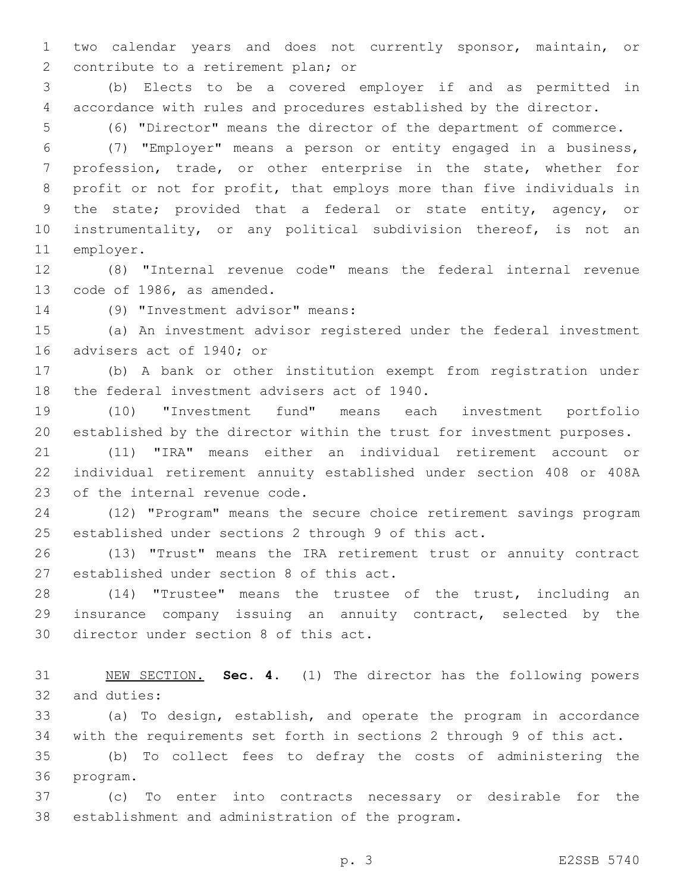two calendar years and does not currently sponsor, maintain, or 2 contribute to a retirement plan; or

 (b) Elects to be a covered employer if and as permitted in accordance with rules and procedures established by the director.

(6) "Director" means the director of the department of commerce.

 (7) "Employer" means a person or entity engaged in a business, profession, trade, or other enterprise in the state, whether for profit or not for profit, that employs more than five individuals in the state; provided that a federal or state entity, agency, or instrumentality, or any political subdivision thereof, is not an 11 employer.

 (8) "Internal revenue code" means the federal internal revenue 13 code of 1986, as amended.

(9) "Investment advisor" means:14

 (a) An investment advisor registered under the federal investment 16 advisers act of 1940; or

 (b) A bank or other institution exempt from registration under 18 the federal investment advisers act of 1940.

 (10) "Investment fund" means each investment portfolio established by the director within the trust for investment purposes.

 (11) "IRA" means either an individual retirement account or individual retirement annuity established under section 408 or 408A 23 of the internal revenue code.

 (12) "Program" means the secure choice retirement savings program established under sections 2 through 9 of this act.

 (13) "Trust" means the IRA retirement trust or annuity contract 27 established under section 8 of this act.

 (14) "Trustee" means the trustee of the trust, including an insurance company issuing an annuity contract, selected by the 30 director under section 8 of this act.

 NEW SECTION. **Sec. 4.** (1) The director has the following powers and duties:

 (a) To design, establish, and operate the program in accordance with the requirements set forth in sections 2 through 9 of this act.

 (b) To collect fees to defray the costs of administering the 36 program.

 (c) To enter into contracts necessary or desirable for the 38 establishment and administration of the program.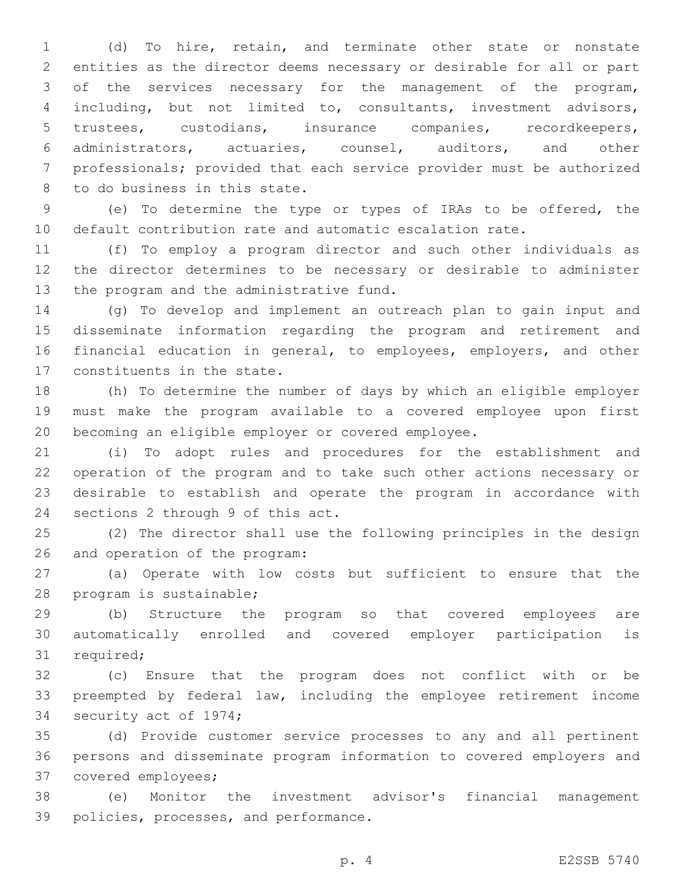(d) To hire, retain, and terminate other state or nonstate entities as the director deems necessary or desirable for all or part of the services necessary for the management of the program, including, but not limited to, consultants, investment advisors, trustees, custodians, insurance companies, recordkeepers, administrators, actuaries, counsel, auditors, and other professionals; provided that each service provider must be authorized 8 to do business in this state.

 (e) To determine the type or types of IRAs to be offered, the default contribution rate and automatic escalation rate.

 (f) To employ a program director and such other individuals as the director determines to be necessary or desirable to administer 13 the program and the administrative fund.

 (g) To develop and implement an outreach plan to gain input and disseminate information regarding the program and retirement and financial education in general, to employees, employers, and other 17 constituents in the state.

 (h) To determine the number of days by which an eligible employer must make the program available to a covered employee upon first becoming an eligible employer or covered employee.

 (i) To adopt rules and procedures for the establishment and operation of the program and to take such other actions necessary or desirable to establish and operate the program in accordance with 24 sections 2 through 9 of this act.

 (2) The director shall use the following principles in the design 26 and operation of the program:

 (a) Operate with low costs but sufficient to ensure that the 28 program is sustainable;

 (b) Structure the program so that covered employees are automatically enrolled and covered employer participation is 31 required;

 (c) Ensure that the program does not conflict with or be preempted by federal law, including the employee retirement income 34 security act of 1974;

 (d) Provide customer service processes to any and all pertinent persons and disseminate program information to covered employers and 37 covered employees;

 (e) Monitor the investment advisor's financial management 39 policies, processes, and performance.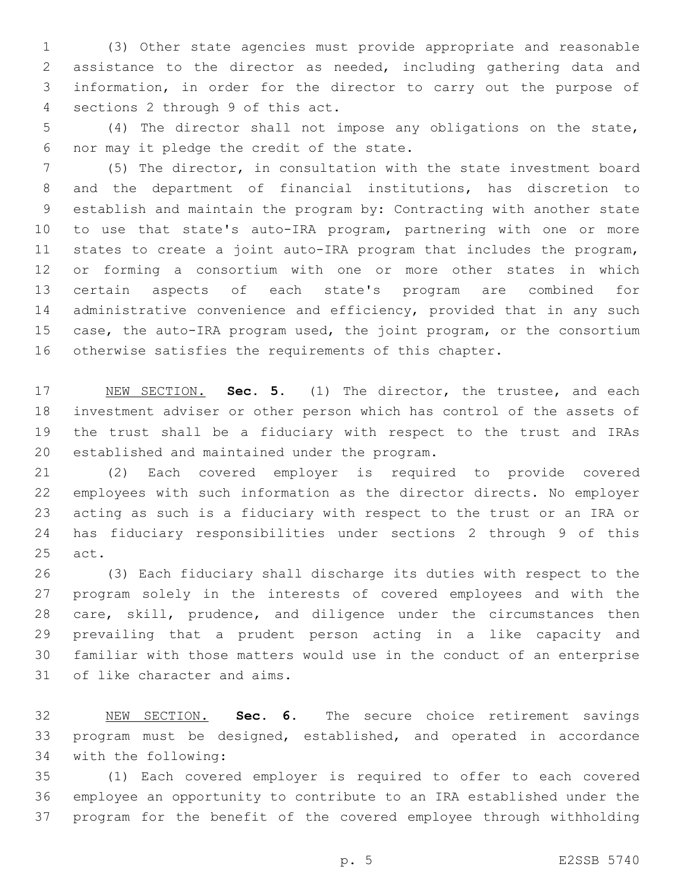(3) Other state agencies must provide appropriate and reasonable assistance to the director as needed, including gathering data and information, in order for the director to carry out the purpose of 4 sections 2 through 9 of this act.

 (4) The director shall not impose any obligations on the state, 6 nor may it pledge the credit of the state.

 (5) The director, in consultation with the state investment board and the department of financial institutions, has discretion to establish and maintain the program by: Contracting with another state to use that state's auto-IRA program, partnering with one or more states to create a joint auto-IRA program that includes the program, or forming a consortium with one or more other states in which certain aspects of each state's program are combined for administrative convenience and efficiency, provided that in any such case, the auto-IRA program used, the joint program, or the consortium otherwise satisfies the requirements of this chapter.

 NEW SECTION. **Sec. 5.** (1) The director, the trustee, and each investment adviser or other person which has control of the assets of the trust shall be a fiduciary with respect to the trust and IRAs established and maintained under the program.

 (2) Each covered employer is required to provide covered employees with such information as the director directs. No employer acting as such is a fiduciary with respect to the trust or an IRA or has fiduciary responsibilities under sections 2 through 9 of this act.

 (3) Each fiduciary shall discharge its duties with respect to the program solely in the interests of covered employees and with the care, skill, prudence, and diligence under the circumstances then prevailing that a prudent person acting in a like capacity and familiar with those matters would use in the conduct of an enterprise 31 of like character and aims.

 NEW SECTION. **Sec. 6.** The secure choice retirement savings program must be designed, established, and operated in accordance with the following:

 (1) Each covered employer is required to offer to each covered employee an opportunity to contribute to an IRA established under the program for the benefit of the covered employee through withholding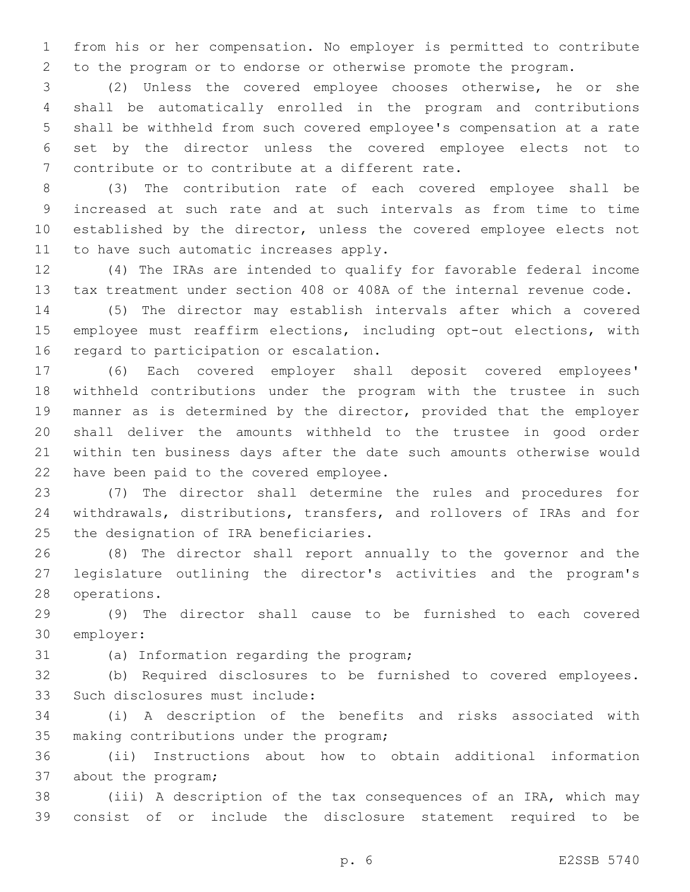from his or her compensation. No employer is permitted to contribute to the program or to endorse or otherwise promote the program.

 (2) Unless the covered employee chooses otherwise, he or she shall be automatically enrolled in the program and contributions shall be withheld from such covered employee's compensation at a rate set by the director unless the covered employee elects not to 7 contribute or to contribute at a different rate.

 (3) The contribution rate of each covered employee shall be increased at such rate and at such intervals as from time to time established by the director, unless the covered employee elects not 11 to have such automatic increases apply.

 (4) The IRAs are intended to qualify for favorable federal income tax treatment under section 408 or 408A of the internal revenue code.

 (5) The director may establish intervals after which a covered employee must reaffirm elections, including opt-out elections, with 16 regard to participation or escalation.

 (6) Each covered employer shall deposit covered employees' withheld contributions under the program with the trustee in such manner as is determined by the director, provided that the employer shall deliver the amounts withheld to the trustee in good order within ten business days after the date such amounts otherwise would 22 have been paid to the covered employee.

 (7) The director shall determine the rules and procedures for withdrawals, distributions, transfers, and rollovers of IRAs and for 25 the designation of IRA beneficiaries.

 (8) The director shall report annually to the governor and the legislature outlining the director's activities and the program's 28 operations.

 (9) The director shall cause to be furnished to each covered 30 employer:

31 (a) Information regarding the program;

 (b) Required disclosures to be furnished to covered employees. 33 Such disclosures must include:

 (i) A description of the benefits and risks associated with 35 making contributions under the program;

 (ii) Instructions about how to obtain additional information 37 about the program;

 (iii) A description of the tax consequences of an IRA, which may consist of or include the disclosure statement required to be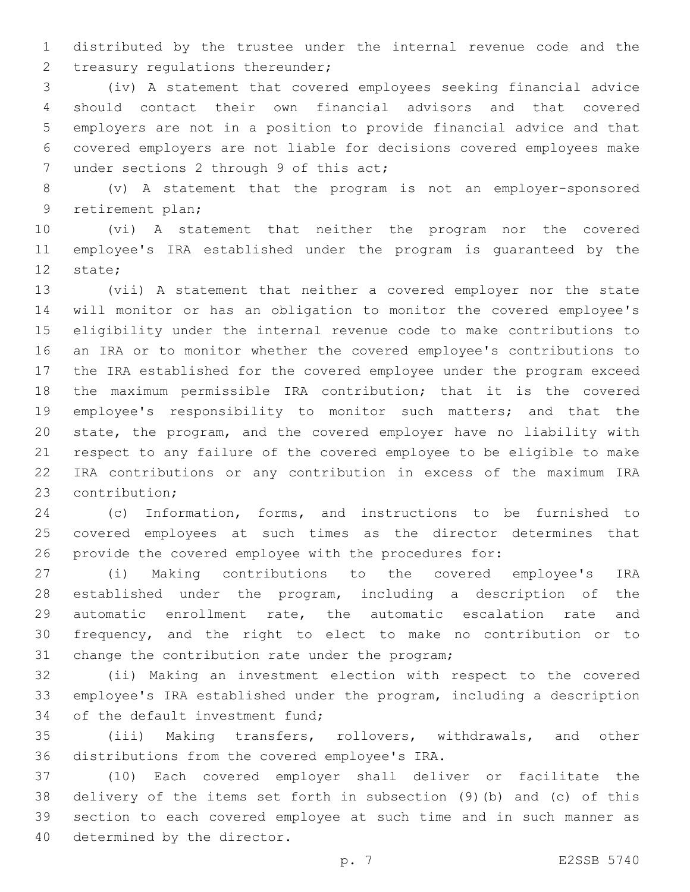distributed by the trustee under the internal revenue code and the 2 treasury regulations thereunder;

 (iv) A statement that covered employees seeking financial advice should contact their own financial advisors and that covered employers are not in a position to provide financial advice and that covered employers are not liable for decisions covered employees make 7 under sections 2 through 9 of this act;

 (v) A statement that the program is not an employer-sponsored 9 retirement plan;

 (vi) A statement that neither the program nor the covered employee's IRA established under the program is guaranteed by the 12 state;

 (vii) A statement that neither a covered employer nor the state will monitor or has an obligation to monitor the covered employee's eligibility under the internal revenue code to make contributions to an IRA or to monitor whether the covered employee's contributions to the IRA established for the covered employee under the program exceed the maximum permissible IRA contribution; that it is the covered employee's responsibility to monitor such matters; and that the state, the program, and the covered employer have no liability with respect to any failure of the covered employee to be eligible to make IRA contributions or any contribution in excess of the maximum IRA 23 contribution;

 (c) Information, forms, and instructions to be furnished to covered employees at such times as the director determines that provide the covered employee with the procedures for:

 (i) Making contributions to the covered employee's IRA established under the program, including a description of the automatic enrollment rate, the automatic escalation rate and frequency, and the right to elect to make no contribution or to 31 change the contribution rate under the program;

 (ii) Making an investment election with respect to the covered employee's IRA established under the program, including a description 34 of the default investment fund;

 (iii) Making transfers, rollovers, withdrawals, and other 36 distributions from the covered employee's IRA.

 (10) Each covered employer shall deliver or facilitate the delivery of the items set forth in subsection (9)(b) and (c) of this section to each covered employee at such time and in such manner as 40 determined by the director.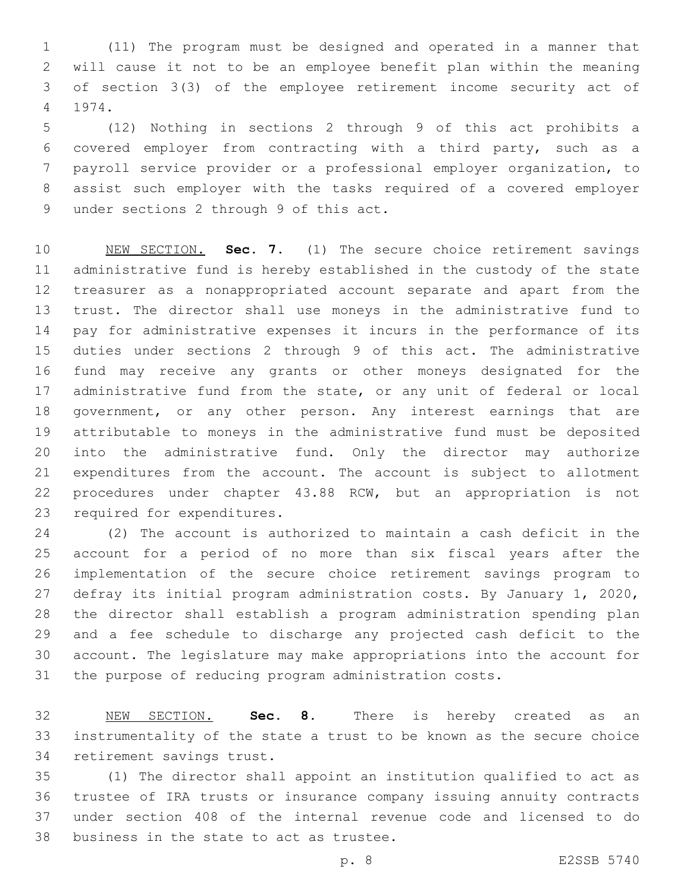(11) The program must be designed and operated in a manner that will cause it not to be an employee benefit plan within the meaning of section 3(3) of the employee retirement income security act of 1974.4

 (12) Nothing in sections 2 through 9 of this act prohibits a covered employer from contracting with a third party, such as a payroll service provider or a professional employer organization, to assist such employer with the tasks required of a covered employer 9 under sections 2 through 9 of this act.

 NEW SECTION. **Sec. 7.** (1) The secure choice retirement savings administrative fund is hereby established in the custody of the state treasurer as a nonappropriated account separate and apart from the trust. The director shall use moneys in the administrative fund to pay for administrative expenses it incurs in the performance of its duties under sections 2 through 9 of this act. The administrative fund may receive any grants or other moneys designated for the 17 administrative fund from the state, or any unit of federal or local government, or any other person. Any interest earnings that are attributable to moneys in the administrative fund must be deposited into the administrative fund. Only the director may authorize expenditures from the account. The account is subject to allotment procedures under chapter 43.88 RCW, but an appropriation is not required for expenditures.

 (2) The account is authorized to maintain a cash deficit in the account for a period of no more than six fiscal years after the implementation of the secure choice retirement savings program to defray its initial program administration costs. By January 1, 2020, the director shall establish a program administration spending plan and a fee schedule to discharge any projected cash deficit to the account. The legislature may make appropriations into the account for the purpose of reducing program administration costs.

 NEW SECTION. **Sec. 8.** There is hereby created as an instrumentality of the state a trust to be known as the secure choice retirement savings trust.

 (1) The director shall appoint an institution qualified to act as trustee of IRA trusts or insurance company issuing annuity contracts under section 408 of the internal revenue code and licensed to do 38 business in the state to act as trustee.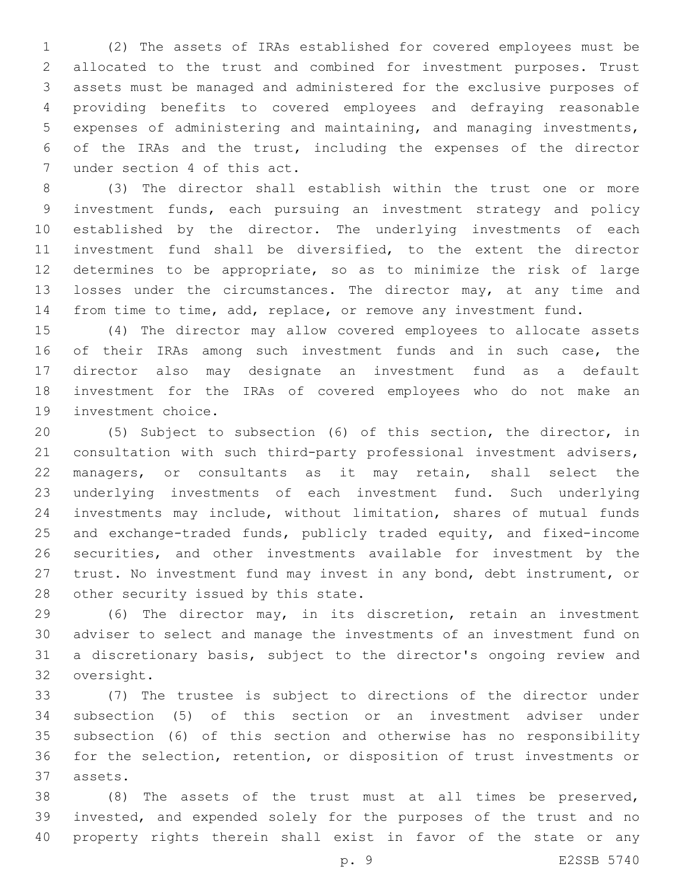(2) The assets of IRAs established for covered employees must be allocated to the trust and combined for investment purposes. Trust assets must be managed and administered for the exclusive purposes of providing benefits to covered employees and defraying reasonable expenses of administering and maintaining, and managing investments, of the IRAs and the trust, including the expenses of the director 7 under section 4 of this act.

 (3) The director shall establish within the trust one or more investment funds, each pursuing an investment strategy and policy established by the director. The underlying investments of each investment fund shall be diversified, to the extent the director determines to be appropriate, so as to minimize the risk of large 13 losses under the circumstances. The director may, at any time and from time to time, add, replace, or remove any investment fund.

 (4) The director may allow covered employees to allocate assets 16 of their IRAs among such investment funds and in such case, the director also may designate an investment fund as a default investment for the IRAs of covered employees who do not make an 19 investment choice.

 (5) Subject to subsection (6) of this section, the director, in consultation with such third-party professional investment advisers, managers, or consultants as it may retain, shall select the underlying investments of each investment fund. Such underlying investments may include, without limitation, shares of mutual funds and exchange-traded funds, publicly traded equity, and fixed-income securities, and other investments available for investment by the trust. No investment fund may invest in any bond, debt instrument, or 28 other security issued by this state.

 (6) The director may, in its discretion, retain an investment adviser to select and manage the investments of an investment fund on a discretionary basis, subject to the director's ongoing review and 32 oversight.

 (7) The trustee is subject to directions of the director under subsection (5) of this section or an investment adviser under subsection (6) of this section and otherwise has no responsibility for the selection, retention, or disposition of trust investments or assets.37

 (8) The assets of the trust must at all times be preserved, invested, and expended solely for the purposes of the trust and no property rights therein shall exist in favor of the state or any

p. 9 E2SSB 5740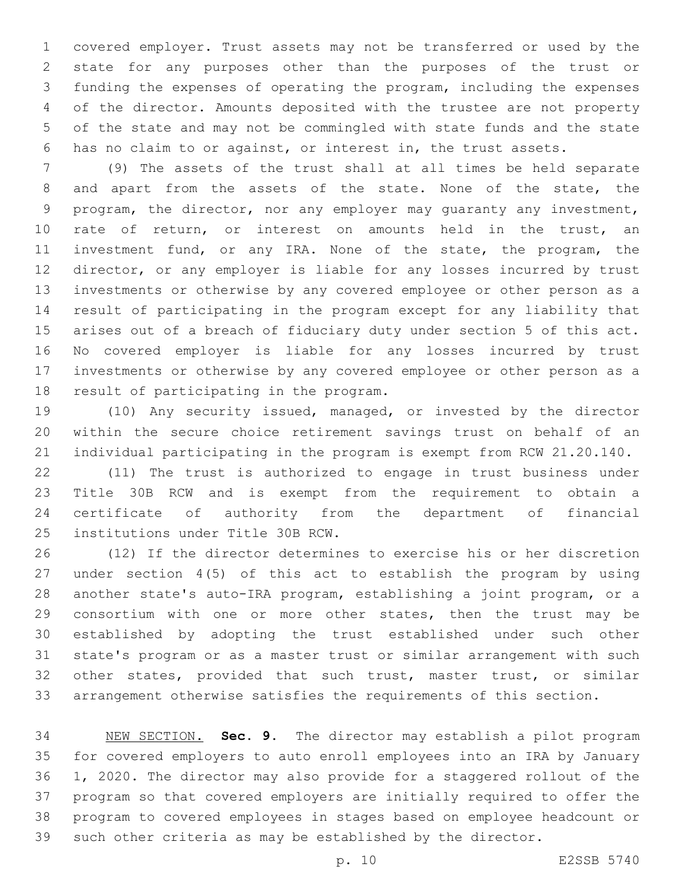covered employer. Trust assets may not be transferred or used by the state for any purposes other than the purposes of the trust or funding the expenses of operating the program, including the expenses of the director. Amounts deposited with the trustee are not property of the state and may not be commingled with state funds and the state has no claim to or against, or interest in, the trust assets.

 (9) The assets of the trust shall at all times be held separate and apart from the assets of the state. None of the state, the program, the director, nor any employer may guaranty any investment, rate of return, or interest on amounts held in the trust, an investment fund, or any IRA. None of the state, the program, the director, or any employer is liable for any losses incurred by trust investments or otherwise by any covered employee or other person as a result of participating in the program except for any liability that arises out of a breach of fiduciary duty under section 5 of this act. No covered employer is liable for any losses incurred by trust investments or otherwise by any covered employee or other person as a 18 result of participating in the program.

 (10) Any security issued, managed, or invested by the director within the secure choice retirement savings trust on behalf of an individual participating in the program is exempt from RCW 21.20.140.

 (11) The trust is authorized to engage in trust business under Title 30B RCW and is exempt from the requirement to obtain a certificate of authority from the department of financial 25 institutions under Title 30B RCW.

 (12) If the director determines to exercise his or her discretion under section 4(5) of this act to establish the program by using another state's auto-IRA program, establishing a joint program, or a consortium with one or more other states, then the trust may be established by adopting the trust established under such other state's program or as a master trust or similar arrangement with such other states, provided that such trust, master trust, or similar arrangement otherwise satisfies the requirements of this section.

 NEW SECTION. **Sec. 9.** The director may establish a pilot program for covered employers to auto enroll employees into an IRA by January 1, 2020. The director may also provide for a staggered rollout of the program so that covered employers are initially required to offer the program to covered employees in stages based on employee headcount or such other criteria as may be established by the director.

p. 10 E2SSB 5740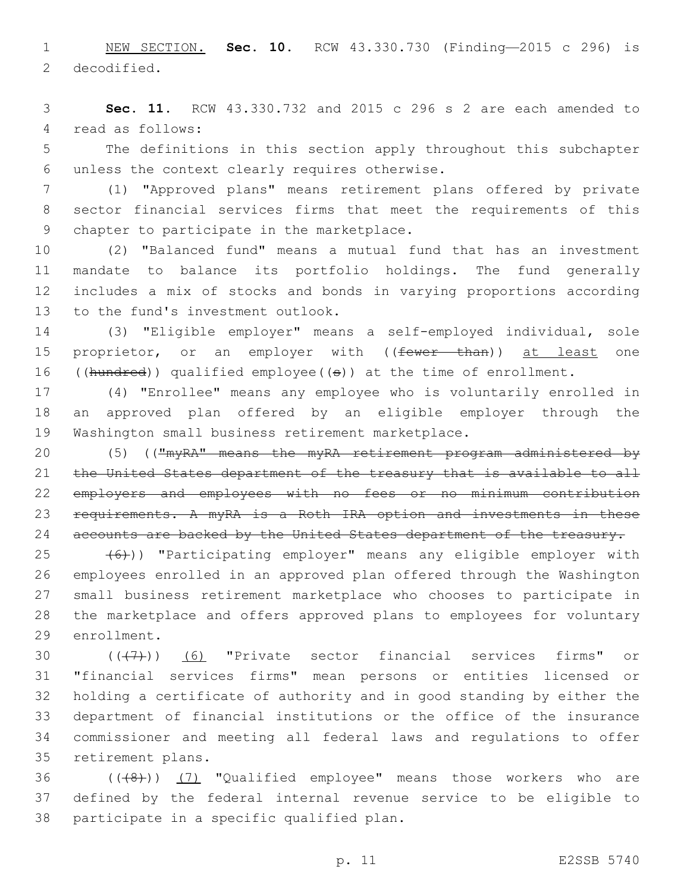1 NEW SECTION. **Sec. 10.** RCW 43.330.730 (Finding—2015 c 296) is 2 decodified.

3 **Sec. 11.** RCW 43.330.732 and 2015 c 296 s 2 are each amended to 4 read as follows:

5 The definitions in this section apply throughout this subchapter 6 unless the context clearly requires otherwise.

7 (1) "Approved plans" means retirement plans offered by private 8 sector financial services firms that meet the requirements of this 9 chapter to participate in the marketplace.

 (2) "Balanced fund" means a mutual fund that has an investment mandate to balance its portfolio holdings. The fund generally includes a mix of stocks and bonds in varying proportions according 13 to the fund's investment outlook.

14 (3) "Eligible employer" means a self-employed individual, sole 15 proprietor, or an employer with ((fewer than)) at least one 16 ((hundred)) qualified employee( $(\theta)$ ) at the time of enrollment.

17 (4) "Enrollee" means any employee who is voluntarily enrolled in 18 an approved plan offered by an eligible employer through the 19 Washington small business retirement marketplace.

20 (5) (("myRA" means the myRA retirement program administered by 21 the United States department of the treasury that is available to all 22 employers and employees with no fees or no minimum contribution 23 requirements. A myRA is a Roth IRA option and investments in these 24 accounts are backed by the United States department of the treasury.

 $(25 \leftarrow 46)$ ) "Participating employer" means any eligible employer with 26 employees enrolled in an approved plan offered through the Washington 27 small business retirement marketplace who chooses to participate in 28 the marketplace and offers approved plans to employees for voluntary 29 enrollment.

 $((+7+))$  (6) "Private sector financial services firms" or "financial services firms" mean persons or entities licensed or holding a certificate of authority and in good standing by either the department of financial institutions or the office of the insurance commissioner and meeting all federal laws and regulations to offer 35 retirement plans.

36 (((8)) (7) "Qualified employee" means those workers who are 37 defined by the federal internal revenue service to be eligible to 38 participate in a specific qualified plan.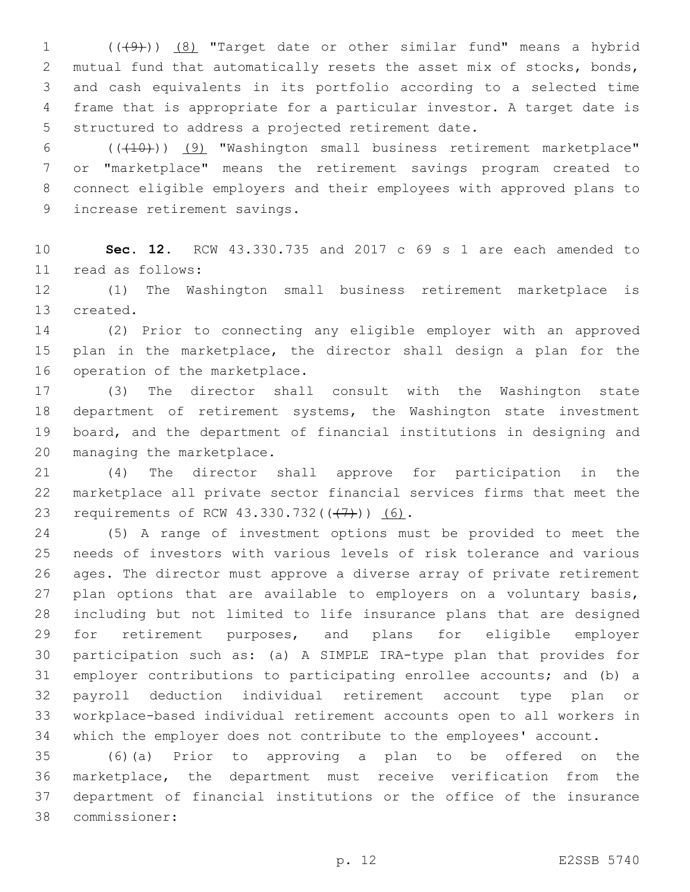1 (((4))) (8) "Target date or other similar fund" means a hybrid mutual fund that automatically resets the asset mix of stocks, bonds, and cash equivalents in its portfolio according to a selected time frame that is appropriate for a particular investor. A target date is 5 structured to address a projected retirement date.

6 (((10)) (9) "Washington small business retirement marketplace" or "marketplace" means the retirement savings program created to connect eligible employers and their employees with approved plans to 9 increase retirement savings.

 **Sec. 12.** RCW 43.330.735 and 2017 c 69 s 1 are each amended to 11 read as follows:

 (1) The Washington small business retirement marketplace is 13 created.

 (2) Prior to connecting any eligible employer with an approved plan in the marketplace, the director shall design a plan for the 16 operation of the marketplace.

 (3) The director shall consult with the Washington state department of retirement systems, the Washington state investment board, and the department of financial institutions in designing and 20 managing the marketplace.

 (4) The director shall approve for participation in the marketplace all private sector financial services firms that meet the 23 requirements of RCW 43.330.732(((+7))) (6).

 (5) A range of investment options must be provided to meet the needs of investors with various levels of risk tolerance and various ages. The director must approve a diverse array of private retirement 27 plan options that are available to employers on a voluntary basis, including but not limited to life insurance plans that are designed for retirement purposes, and plans for eligible employer participation such as: (a) A SIMPLE IRA-type plan that provides for employer contributions to participating enrollee accounts; and (b) a payroll deduction individual retirement account type plan or workplace-based individual retirement accounts open to all workers in which the employer does not contribute to the employees' account.

 (6)(a) Prior to approving a plan to be offered on the marketplace, the department must receive verification from the department of financial institutions or the office of the insurance commissioner:38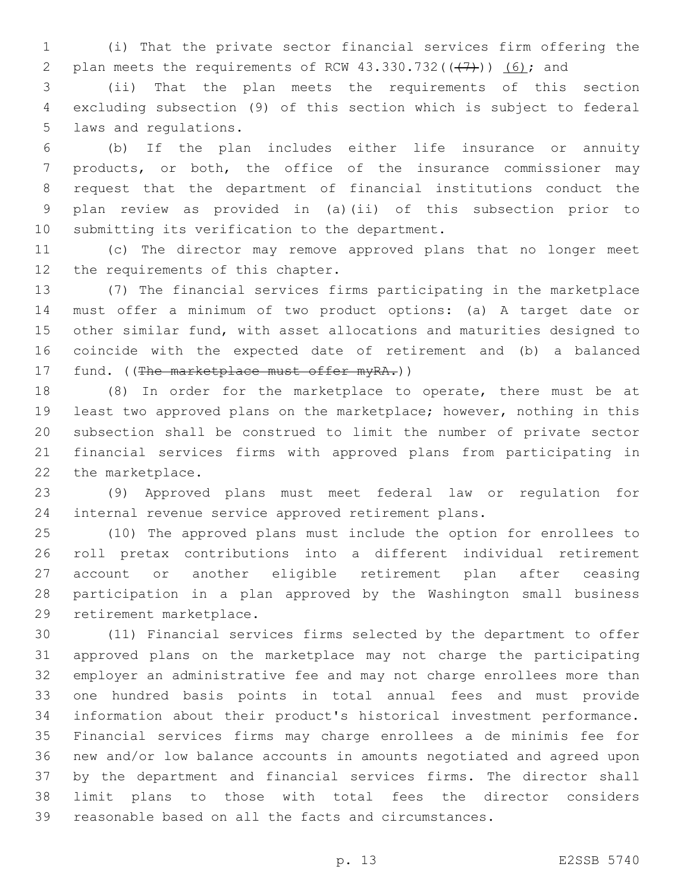(i) That the private sector financial services firm offering the 2 plan meets the requirements of RCW  $43.330.732((+7))$   $(6)$ ; and

 (ii) That the plan meets the requirements of this section excluding subsection (9) of this section which is subject to federal 5 laws and regulations.

 (b) If the plan includes either life insurance or annuity products, or both, the office of the insurance commissioner may request that the department of financial institutions conduct the plan review as provided in (a)(ii) of this subsection prior to 10 submitting its verification to the department.

 (c) The director may remove approved plans that no longer meet 12 the requirements of this chapter.

 (7) The financial services firms participating in the marketplace must offer a minimum of two product options: (a) A target date or other similar fund, with asset allocations and maturities designed to coincide with the expected date of retirement and (b) a balanced 17 fund. ((The marketplace must offer myRA.))

 (8) In order for the marketplace to operate, there must be at least two approved plans on the marketplace; however, nothing in this subsection shall be construed to limit the number of private sector financial services firms with approved plans from participating in 22 the marketplace.

 (9) Approved plans must meet federal law or regulation for internal revenue service approved retirement plans.

 (10) The approved plans must include the option for enrollees to roll pretax contributions into a different individual retirement account or another eligible retirement plan after ceasing participation in a plan approved by the Washington small business 29 retirement marketplace.

 (11) Financial services firms selected by the department to offer approved plans on the marketplace may not charge the participating employer an administrative fee and may not charge enrollees more than one hundred basis points in total annual fees and must provide information about their product's historical investment performance. Financial services firms may charge enrollees a de minimis fee for new and/or low balance accounts in amounts negotiated and agreed upon by the department and financial services firms. The director shall limit plans to those with total fees the director considers reasonable based on all the facts and circumstances.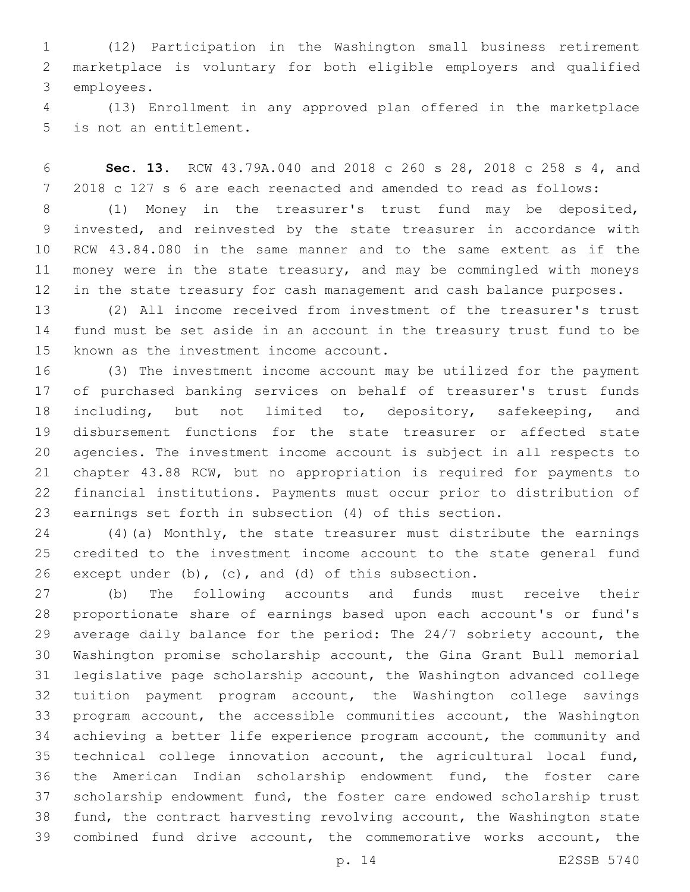(12) Participation in the Washington small business retirement marketplace is voluntary for both eligible employers and qualified 3 employees.

 (13) Enrollment in any approved plan offered in the marketplace 5 is not an entitlement.

 **Sec. 13.** RCW 43.79A.040 and 2018 c 260 s 28, 2018 c 258 s 4, and 2018 c 127 s 6 are each reenacted and amended to read as follows:

 (1) Money in the treasurer's trust fund may be deposited, invested, and reinvested by the state treasurer in accordance with RCW 43.84.080 in the same manner and to the same extent as if the money were in the state treasury, and may be commingled with moneys in the state treasury for cash management and cash balance purposes.

 (2) All income received from investment of the treasurer's trust fund must be set aside in an account in the treasury trust fund to be 15 known as the investment income account.

 (3) The investment income account may be utilized for the payment of purchased banking services on behalf of treasurer's trust funds 18 including, but not limited to, depository, safekeeping, and disbursement functions for the state treasurer or affected state agencies. The investment income account is subject in all respects to chapter 43.88 RCW, but no appropriation is required for payments to financial institutions. Payments must occur prior to distribution of earnings set forth in subsection (4) of this section.

 (4)(a) Monthly, the state treasurer must distribute the earnings credited to the investment income account to the state general fund 26 except under  $(b)$ ,  $(c)$ , and  $(d)$  of this subsection.

 (b) The following accounts and funds must receive their proportionate share of earnings based upon each account's or fund's average daily balance for the period: The 24/7 sobriety account, the Washington promise scholarship account, the Gina Grant Bull memorial legislative page scholarship account, the Washington advanced college tuition payment program account, the Washington college savings program account, the accessible communities account, the Washington achieving a better life experience program account, the community and technical college innovation account, the agricultural local fund, the American Indian scholarship endowment fund, the foster care scholarship endowment fund, the foster care endowed scholarship trust fund, the contract harvesting revolving account, the Washington state combined fund drive account, the commemorative works account, the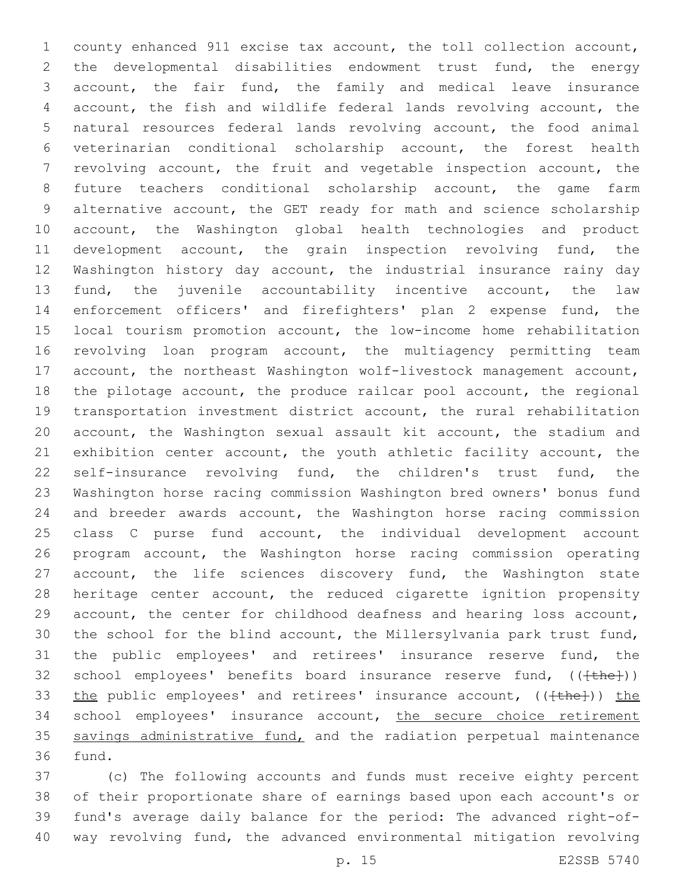county enhanced 911 excise tax account, the toll collection account, the developmental disabilities endowment trust fund, the energy account, the fair fund, the family and medical leave insurance account, the fish and wildlife federal lands revolving account, the natural resources federal lands revolving account, the food animal veterinarian conditional scholarship account, the forest health revolving account, the fruit and vegetable inspection account, the future teachers conditional scholarship account, the game farm alternative account, the GET ready for math and science scholarship account, the Washington global health technologies and product development account, the grain inspection revolving fund, the Washington history day account, the industrial insurance rainy day fund, the juvenile accountability incentive account, the law enforcement officers' and firefighters' plan 2 expense fund, the local tourism promotion account, the low-income home rehabilitation revolving loan program account, the multiagency permitting team account, the northeast Washington wolf-livestock management account, the pilotage account, the produce railcar pool account, the regional transportation investment district account, the rural rehabilitation account, the Washington sexual assault kit account, the stadium and exhibition center account, the youth athletic facility account, the self-insurance revolving fund, the children's trust fund, the Washington horse racing commission Washington bred owners' bonus fund and breeder awards account, the Washington horse racing commission class C purse fund account, the individual development account program account, the Washington horse racing commission operating 27 account, the life sciences discovery fund, the Washington state heritage center account, the reduced cigarette ignition propensity account, the center for childhood deafness and hearing loss account, the school for the blind account, the Millersylvania park trust fund, the public employees' and retirees' insurance reserve fund, the 32 school employees' benefits board insurance reserve fund, ((<del>[the]</del>)) 33 the public employees' and retirees' insurance account, (( $\text{the}$ )) the 34 school employees' insurance account, the secure choice retirement 35 savings administrative fund, and the radiation perpetual maintenance 36 fund.

 (c) The following accounts and funds must receive eighty percent of their proportionate share of earnings based upon each account's or fund's average daily balance for the period: The advanced right-of-way revolving fund, the advanced environmental mitigation revolving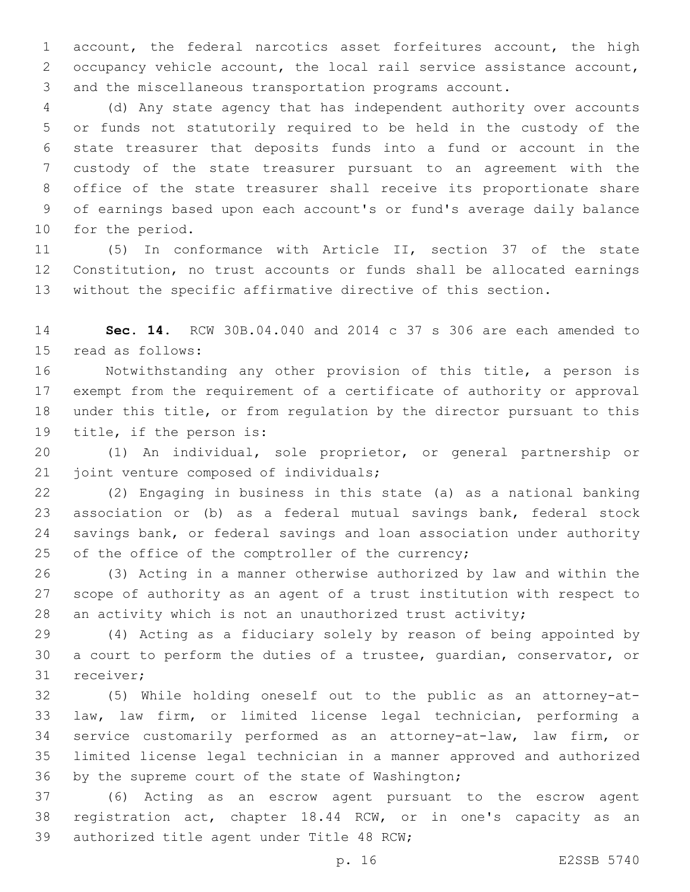account, the federal narcotics asset forfeitures account, the high occupancy vehicle account, the local rail service assistance account, and the miscellaneous transportation programs account.

 (d) Any state agency that has independent authority over accounts or funds not statutorily required to be held in the custody of the state treasurer that deposits funds into a fund or account in the custody of the state treasurer pursuant to an agreement with the office of the state treasurer shall receive its proportionate share of earnings based upon each account's or fund's average daily balance 10 for the period.

 (5) In conformance with Article II, section 37 of the state Constitution, no trust accounts or funds shall be allocated earnings without the specific affirmative directive of this section.

 **Sec. 14.** RCW 30B.04.040 and 2014 c 37 s 306 are each amended to 15 read as follows:

 Notwithstanding any other provision of this title, a person is exempt from the requirement of a certificate of authority or approval under this title, or from regulation by the director pursuant to this 19 title, if the person is:

 (1) An individual, sole proprietor, or general partnership or 21 joint venture composed of individuals;

 (2) Engaging in business in this state (a) as a national banking association or (b) as a federal mutual savings bank, federal stock savings bank, or federal savings and loan association under authority 25 of the office of the comptroller of the currency;

 (3) Acting in a manner otherwise authorized by law and within the scope of authority as an agent of a trust institution with respect to an activity which is not an unauthorized trust activity;

 (4) Acting as a fiduciary solely by reason of being appointed by a court to perform the duties of a trustee, guardian, conservator, or 31 receiver:

 (5) While holding oneself out to the public as an attorney-at- law, law firm, or limited license legal technician, performing a service customarily performed as an attorney-at-law, law firm, or limited license legal technician in a manner approved and authorized 36 by the supreme court of the state of Washington;

 (6) Acting as an escrow agent pursuant to the escrow agent registration act, chapter 18.44 RCW, or in one's capacity as an 39 authorized title agent under Title 48 RCW;